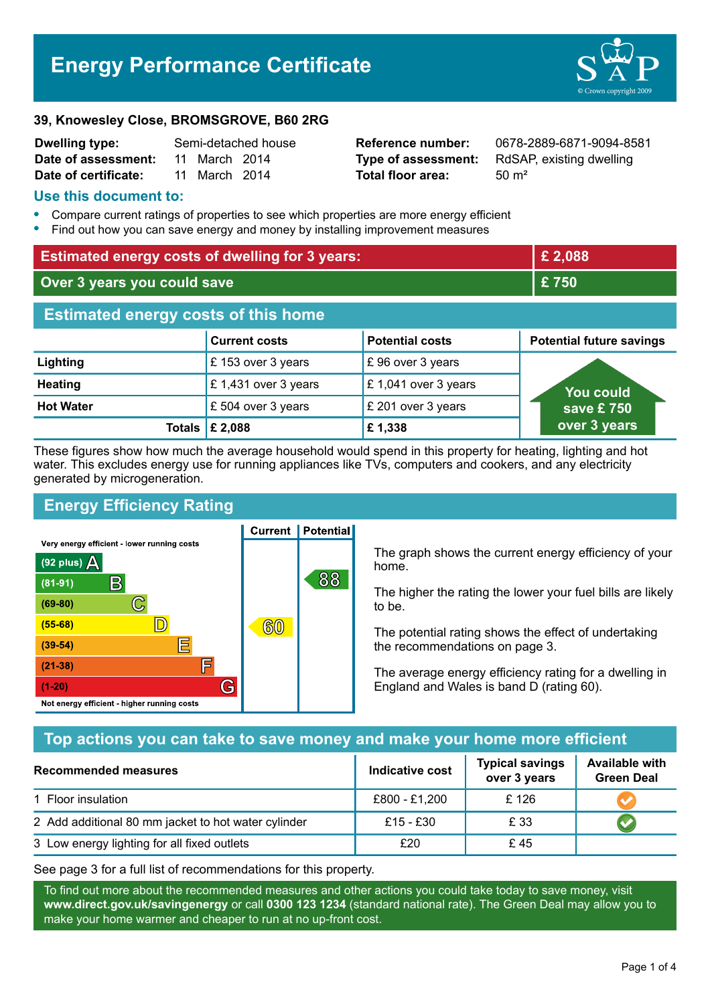# **Energy Performance Certificate**



#### **39, Knowesley Close, BROMSGROVE, B60 2RG**

| <b>Dwelling type:</b> | Semi-detached house |               |  |
|-----------------------|---------------------|---------------|--|
| Date of assessment:   |                     | 11 March 2014 |  |
| Date of certificate:  |                     | 11 March 2014 |  |

**Total floor area:** 50 m<sup>2</sup>

**Reference number:** 0678-2889-6871-9094-8581 **Type of assessment:** RdSAP, existing dwelling

### **Use this document to:**

- **•** Compare current ratings of properties to see which properties are more energy efficient
- **•** Find out how you can save energy and money by installing improvement measures

| <b>Estimated energy costs of dwelling for 3 years:</b> |                           |                        | £2,088                          |  |
|--------------------------------------------------------|---------------------------|------------------------|---------------------------------|--|
| Over 3 years you could save                            |                           | £750                   |                                 |  |
| <b>Estimated energy costs of this home</b>             |                           |                        |                                 |  |
|                                                        | <b>Current costs</b>      | <b>Potential costs</b> | <b>Potential future savings</b> |  |
| Lighting                                               | £153 over 3 years         | £96 over 3 years       |                                 |  |
| <b>Heating</b>                                         | £1,431 over 3 years       | £1,041 over 3 years    | <b>You could</b>                |  |
| <b>Hot Water</b>                                       | £504 over 3 years         | £ 201 over 3 years     | save £750                       |  |
|                                                        | Totals $\mathsf{E}$ 2,088 | £1,338                 | over 3 years                    |  |

These figures show how much the average household would spend in this property for heating, lighting and hot water. This excludes energy use for running appliances like TVs, computers and cookers, and any electricity generated by microgeneration.

**Current | Potential** 

# **Energy Efficiency Rating**

Very energy efficient - lower running costs



The graph shows the current energy efficiency of your home.

The higher the rating the lower your fuel bills are likely to be.

The potential rating shows the effect of undertaking the recommendations on page 3.

The average energy efficiency rating for a dwelling in England and Wales is band D (rating 60).

### **Top actions you can take to save money and make your home more efficient**

| Recommended measures                                | Indicative cost | <b>Typical savings</b><br>over 3 years | <b>Available with</b><br><b>Green Deal</b> |
|-----------------------------------------------------|-----------------|----------------------------------------|--------------------------------------------|
| 1 Floor insulation                                  | £800 - £1,200   | £126                                   |                                            |
| 2 Add additional 80 mm jacket to hot water cylinder | £15 - £30       | £ 33                                   |                                            |
| 3 Low energy lighting for all fixed outlets         | £20             | £45                                    |                                            |

See page 3 for a full list of recommendations for this property.

To find out more about the recommended measures and other actions you could take today to save money, visit **www.direct.gov.uk/savingenergy** or call **0300 123 1234** (standard national rate). The Green Deal may allow you to make your home warmer and cheaper to run at no up-front cost.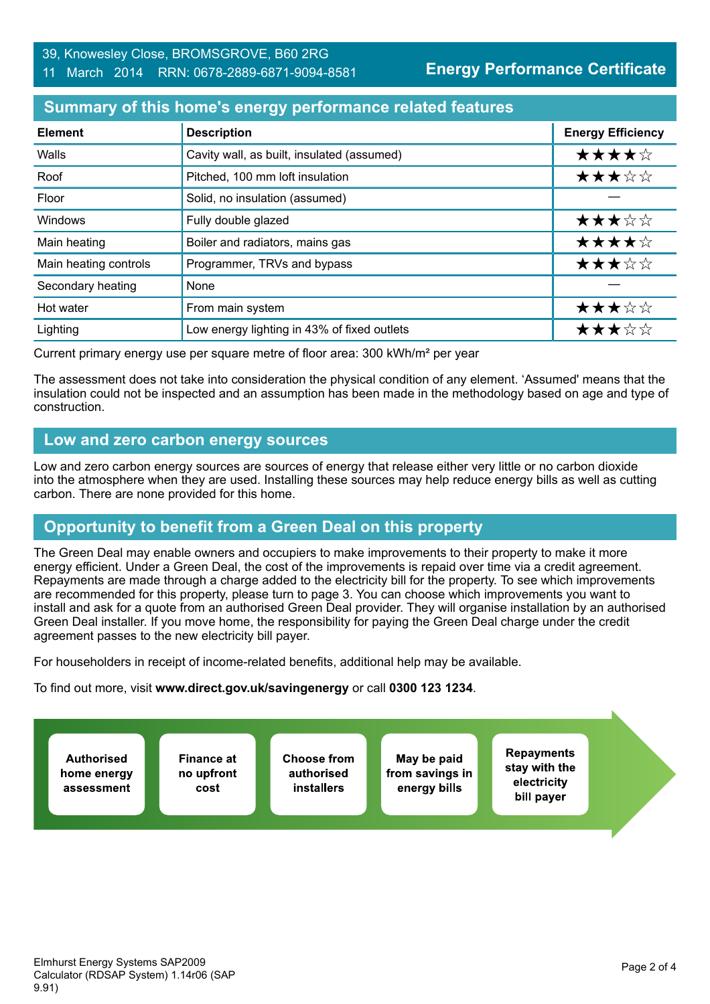# **Energy Performance Certificate**

# **Summary of this home's energy performance related features**

| <b>Element</b>        | <b>Description</b>                          | <b>Energy Efficiency</b> |
|-----------------------|---------------------------------------------|--------------------------|
| Walls                 | Cavity wall, as built, insulated (assumed)  | ★★★★☆                    |
| Roof                  | Pitched, 100 mm loft insulation             | ★★★☆☆                    |
| Floor                 | Solid, no insulation (assumed)              |                          |
| Windows               | Fully double glazed                         | ★★★☆☆                    |
| Main heating          | Boiler and radiators, mains gas             | ★★★★☆                    |
| Main heating controls | Programmer, TRVs and bypass                 | ★★★☆☆                    |
| Secondary heating     | None                                        |                          |
| Hot water             | From main system                            | ★★★☆☆                    |
| Lighting              | Low energy lighting in 43% of fixed outlets | ★★★☆☆                    |

Current primary energy use per square metre of floor area: 300 kWh/m² per year

The assessment does not take into consideration the physical condition of any element. 'Assumed' means that the insulation could not be inspected and an assumption has been made in the methodology based on age and type of construction.

### **Low and zero carbon energy sources**

Low and zero carbon energy sources are sources of energy that release either very little or no carbon dioxide into the atmosphere when they are used. Installing these sources may help reduce energy bills as well as cutting carbon. There are none provided for this home.

# **Opportunity to benefit from a Green Deal on this property**

The Green Deal may enable owners and occupiers to make improvements to their property to make it more energy efficient. Under a Green Deal, the cost of the improvements is repaid over time via a credit agreement. Repayments are made through a charge added to the electricity bill for the property. To see which improvements are recommended for this property, please turn to page 3. You can choose which improvements you want to install and ask for a quote from an authorised Green Deal provider. They will organise installation by an authorised Green Deal installer. If you move home, the responsibility for paying the Green Deal charge under the credit agreement passes to the new electricity bill payer.

For householders in receipt of income-related benefits, additional help may be available.

To find out more, visit **www.direct.gov.uk/savingenergy** or call **0300 123 1234**.

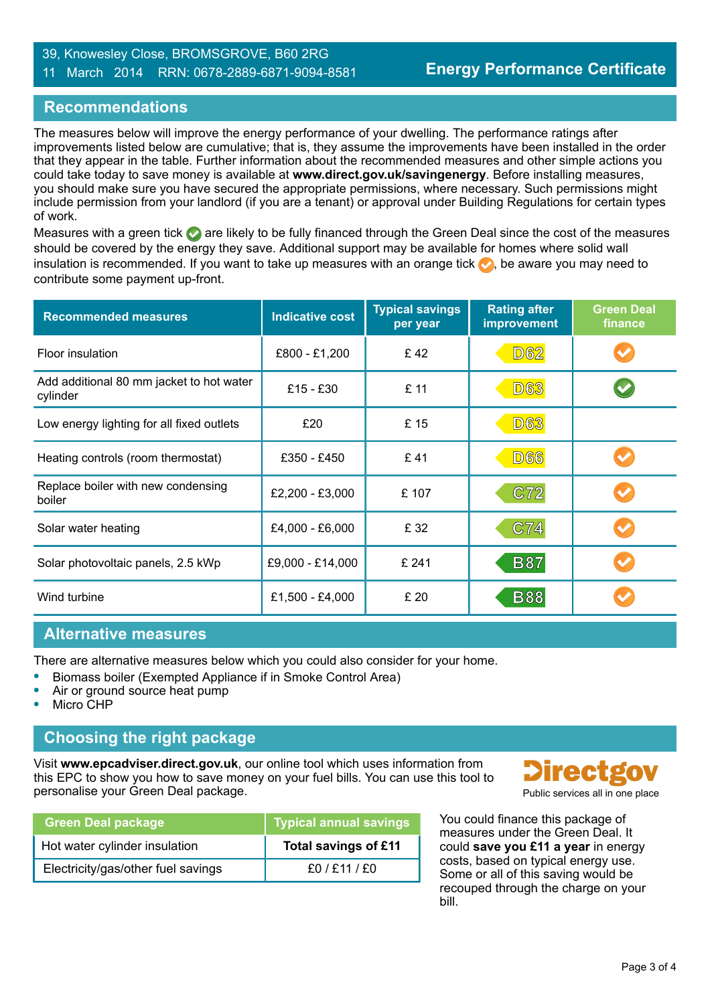#### 39, Knowesley Close, BROMSGROVE, B60 2RG 11 March 2014 RRN: 0678-2889-6871-9094-8581

### **Recommendations**

The measures below will improve the energy performance of your dwelling. The performance ratings after improvements listed below are cumulative; that is, they assume the improvements have been installed in the order that they appear in the table. Further information about the recommended measures and other simple actions you could take today to save money is available at **www.direct.gov.uk/savingenergy**. Before installing measures, you should make sure you have secured the appropriate permissions, where necessary. Such permissions might include permission from your landlord (if you are a tenant) or approval under Building Regulations for certain types of work.

Measures with a green tick  $\bullet$  are likely to be fully financed through the Green Deal since the cost of the measures should be covered by the energy they save. Additional support may be available for homes where solid wall insulation is recommended. If you want to take up measures with an orange tick  $\bullet$ , be aware you may need to contribute some payment up-front.

| <b>Recommended measures</b>                          | <b>Indicative cost</b> | <b>Typical savings</b><br>per year | <b>Rating after</b><br>improvement | <b>Green Deal</b><br>finance |
|------------------------------------------------------|------------------------|------------------------------------|------------------------------------|------------------------------|
| Floor insulation                                     | £800 - £1,200          | £42                                | <b>D62</b>                         |                              |
| Add additional 80 mm jacket to hot water<br>cylinder | £15 - £30              | £ 11                               | <b>D63</b>                         |                              |
| Low energy lighting for all fixed outlets            | £20                    | £15                                | <b>D63</b>                         |                              |
| Heating controls (room thermostat)                   | £350 - £450            | £41                                | <b>D66</b>                         |                              |
| Replace boiler with new condensing<br>boiler         | £2,200 - £3,000        | £107                               | C72                                |                              |
| Solar water heating                                  | £4,000 - £6,000        | £ 32                               | C74                                |                              |
| Solar photovoltaic panels, 2.5 kWp                   | £9,000 - £14,000       | £ 241                              | <b>B87</b>                         |                              |
| Wind turbine                                         | £1,500 - £4,000        | £ 20                               | <b>B88</b>                         |                              |

#### **Alternative measures**

There are alternative measures below which you could also consider for your home.

- **•** Biomass boiler (Exempted Appliance if in Smoke Control Area)
- **•** Air or ground source heat pump
- **•** Micro CHP

### **Choosing the right package**

Visit **www.epcadviser.direct.gov.uk**, our online tool which uses information from this EPC to show you how to save money on your fuel bills. You can use this tool to personalise your Green Deal package. **Public services all in one place** part of the place of the place of the place

| Green Deal package                 | <b>Typical annual savings</b> |
|------------------------------------|-------------------------------|
| Hot water cylinder insulation      | Total savings of £11          |
| Electricity/gas/other fuel savings | £0 / £11 / £0                 |



You could finance this package of measures under the Green Deal. It could **save you £11 a year** in energy costs, based on typical energy use. Some or all of this saving would be recouped through the charge on your bill.